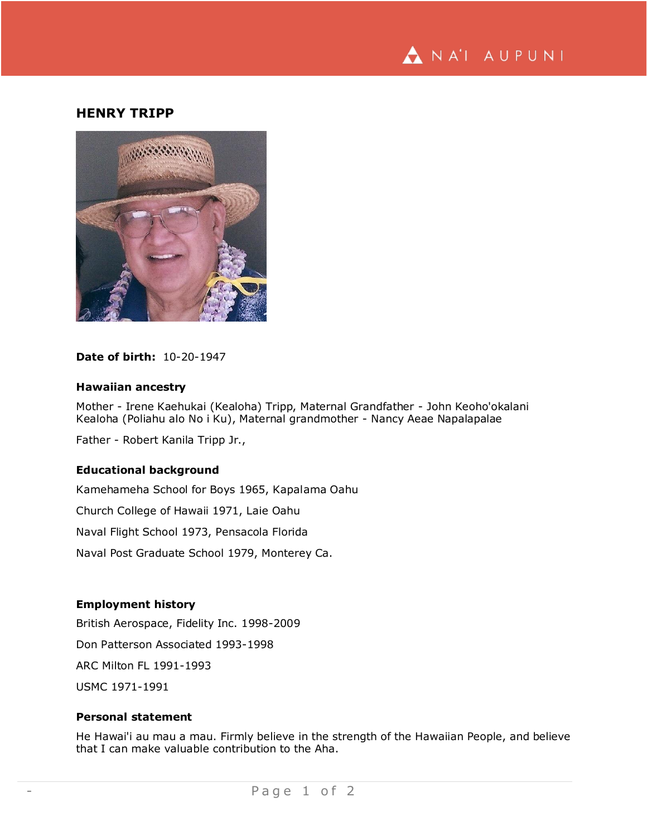

# **HENRY TRIPP**



## **Date of birth:** 10-20-1947

### **Hawaiian ancestry**

Mother - Irene Kaehukai (Kealoha) Tripp, Maternal Grandfather - John Keoho'okalani Kealoha (Poliahu alo No i Ku), Maternal grandmother - Nancy Aeae Napalapalae

Father - Robert Kanila Tripp Jr.,

## **Educational background**

Kamehameha School for Boys 1965, Kapalama Oahu Church College of Hawaii 1971, Laie Oahu Naval Flight School 1973, Pensacola Florida Naval Post Graduate School 1979, Monterey Ca.

# **Employment history**

British Aerospace, Fidelity Inc. 1998-2009 Don Patterson Associated 1993-1998 ARC Milton FL 1991-1993 USMC 1971-1991

#### **Personal statement**

He Hawai'i au mau a mau. Firmly believe in the strength of the Hawaiian People, and believe that I can make valuable contribution to the Aha.